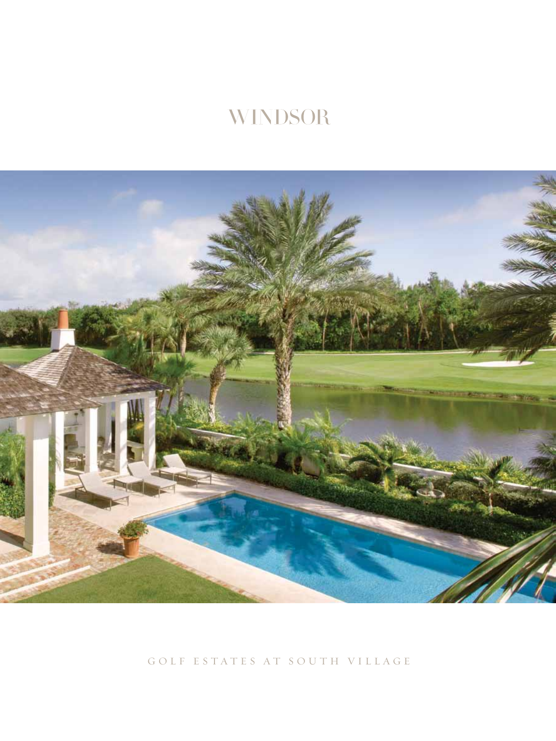# **WINDSOR**



golf estates at south village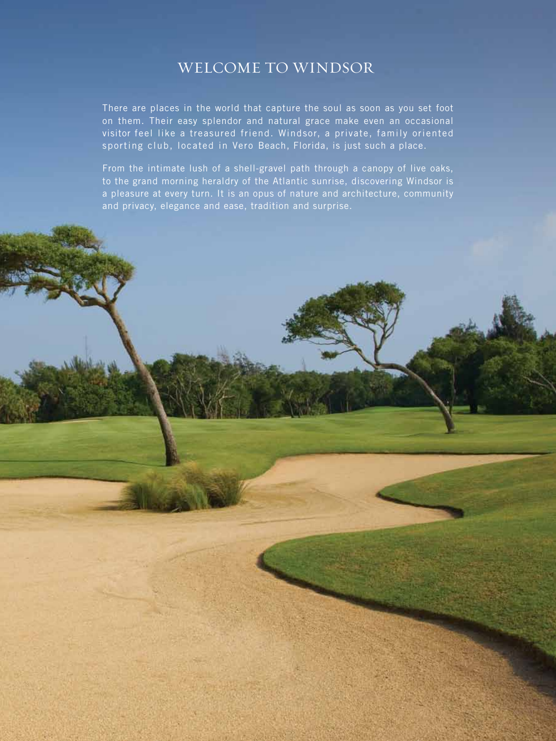#### Welcome to Windsor

There are places in the world that capture the soul as soon as you set foot on them. Their easy splendor and natural grace make even an occasional visitor feel like a treasured friend. Windsor, a private, family oriented sporting club, located in Vero Beach, Florida, is just such a place.

From the intimate lush of a shell-gravel path through a canopy of live oaks, to the grand morning heraldry of the Atlantic sunrise, discovering Windsor is a pleasure at every turn. It is an opus of nature and architecture, community and privacy, elegance and ease, tradition and surprise.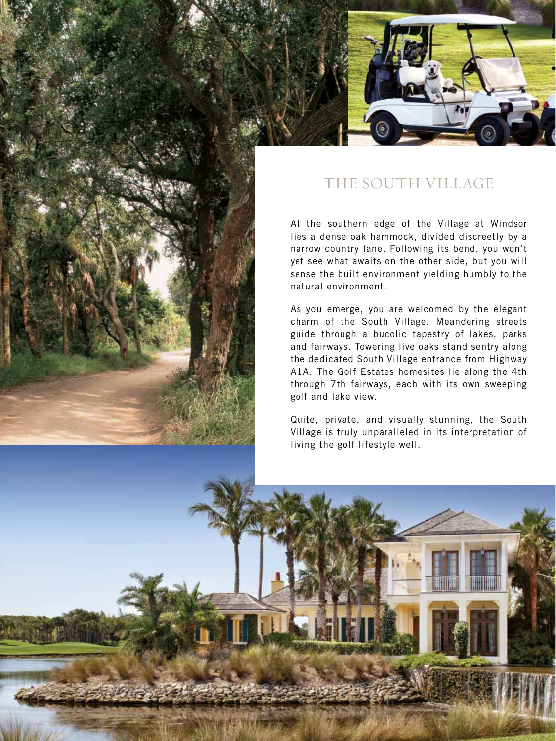

## The South Village

At the southern edge of the Village at Windsor lies a dense oak hammock, divided discreetly by a narrow country lane. Following its bend, you won't yet see what awaits on the other side, but you will sense the built environment yielding humbly to the natural environment.

As you emerge, you are welcomed by the elegant charm of the South Village. Meandering streets guide through a bucolic tapestry of lakes, parks and fairways. Towering live oaks stand sentry along the dedicated South Village entrance from Highway A1A. The Golf Estates homesites lie along the 4th through 7th fairways, each with its own sweeping golf and lake view.

Quite, private, and visually stunning, the South Village is truly unparalleled in its interpretation of living the golf lifestyle well.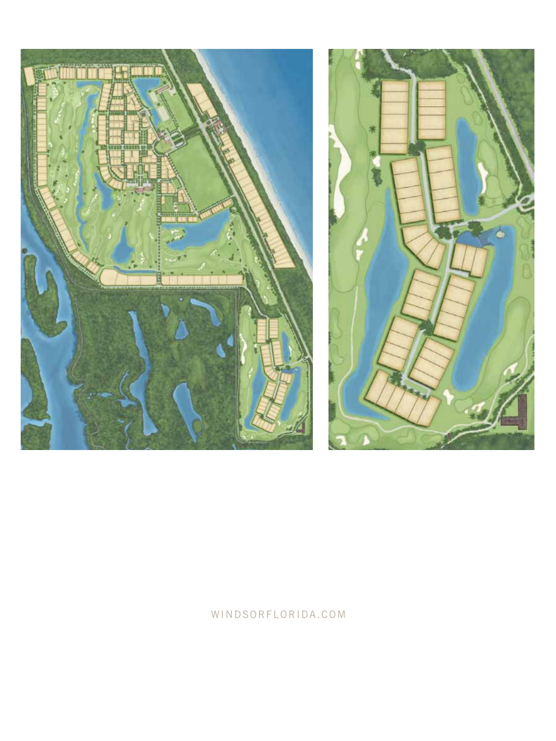



#### WINDSORFLORIDA.COM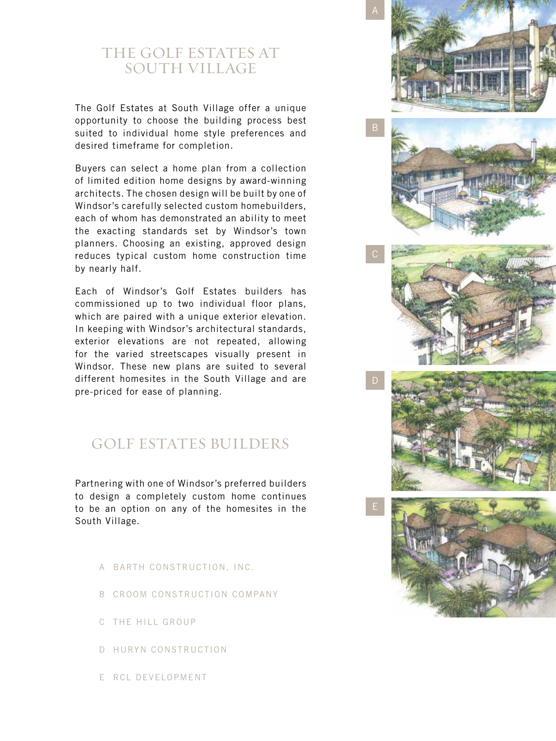### THE GOLF ESTATES AT South Village

The Golf Estates at South Village offer a unique opportunity to choose the building process best suited to individual home style preferences and desired timeframe for completion.

Buyers can select a home plan from a collection of limited edition home designs by award-winning architects. The chosen design will be built by one of Windsor's carefully selected custom homebuilders, each of whom has demonstrated an ability to meet the exacting standards set by Windsor's town planners. Choosing an existing, approved design reduces typical custom home construction time by nearly half.

Each of Windsor's Golf Estates builders has commissioned up to two individual floor plans, which are paired with a unique exterior elevation. In keeping with Windsor's architectural standards, exterior elevations are not repeated, allowing for the varied streetscapes visually present in Windsor. These new plans are suited to several different homesites in the South Village and are pre-priced for ease of planning.

### Golf Estates Builders

Partnering with one of Windsor's preferred builders to design a completely custom home continues to be an option on any of the homesites in the South Village.

- A Barth Construction, Inc.
- B Croom Construction Company
- C The Hill Group
- D Huryn Construction
- E RCL Development